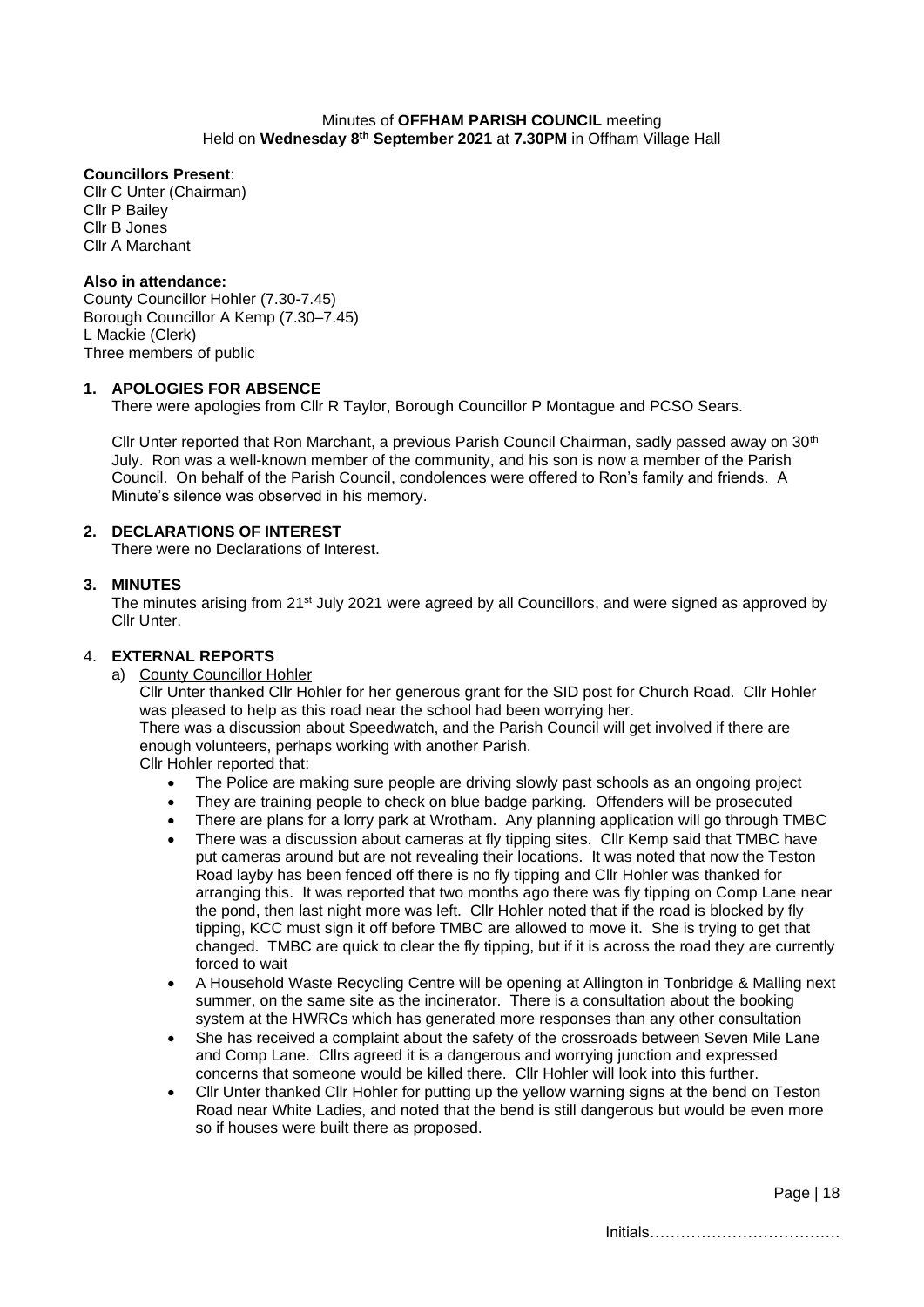#### Minutes of **OFFHAM PARISH COUNCIL** meeting Held on Wednesday 8<sup>th</sup> September 2021 at 7.30PM in Offham Village Hall

## **Councillors Present**:

Cllr C Unter (Chairman) Cllr P Bailey Cllr B Jones Cllr A Marchant

## **Also in attendance:**

County Councillor Hohler (7.30-7.45) Borough Councillor A Kemp (7.30–7.45) L Mackie (Clerk) Three members of public

## **1. APOLOGIES FOR ABSENCE**

There were apologies from Cllr R Taylor, Borough Councillor P Montague and PCSO Sears.

Cllr Unter reported that Ron Marchant, a previous Parish Council Chairman, sadly passed away on 30<sup>th</sup> July. Ron was a well-known member of the community, and his son is now a member of the Parish Council. On behalf of the Parish Council, condolences were offered to Ron's family and friends. A Minute's silence was observed in his memory.

## **2. DECLARATIONS OF INTEREST**

There were no Declarations of Interest.

## **3. MINUTES**

The minutes arising from 21<sup>st</sup> July 2021 were agreed by all Councillors, and were signed as approved by Cllr Unter.

## 4. **EXTERNAL REPORTS**

a) County Councillor Hohler

Cllr Unter thanked Cllr Hohler for her generous grant for the SID post for Church Road. Cllr Hohler was pleased to help as this road near the school had been worrying her.

There was a discussion about Speedwatch, and the Parish Council will get involved if there are enough volunteers, perhaps working with another Parish.

Cllr Hohler reported that:

- The Police are making sure people are driving slowly past schools as an ongoing project
- They are training people to check on blue badge parking. Offenders will be prosecuted
- There are plans for a lorry park at Wrotham. Any planning application will go through TMBC
- There was a discussion about cameras at fly tipping sites. Cllr Kemp said that TMBC have put cameras around but are not revealing their locations. It was noted that now the Teston Road layby has been fenced off there is no fly tipping and Cllr Hohler was thanked for arranging this. It was reported that two months ago there was fly tipping on Comp Lane near the pond, then last night more was left. Cllr Hohler noted that if the road is blocked by fly tipping, KCC must sign it off before TMBC are allowed to move it. She is trying to get that changed. TMBC are quick to clear the fly tipping, but if it is across the road they are currently forced to wait
- A Household Waste Recycling Centre will be opening at Allington in Tonbridge & Malling next summer, on the same site as the incinerator. There is a consultation about the booking system at the HWRCs which has generated more responses than any other consultation
- She has received a complaint about the safety of the crossroads between Seven Mile Lane and Comp Lane. Cllrs agreed it is a dangerous and worrying junction and expressed concerns that someone would be killed there. Cllr Hohler will look into this further.
- Cllr Unter thanked Cllr Hohler for putting up the yellow warning signs at the bend on Teston Road near White Ladies, and noted that the bend is still dangerous but would be even more so if houses were built there as proposed.

Page | 18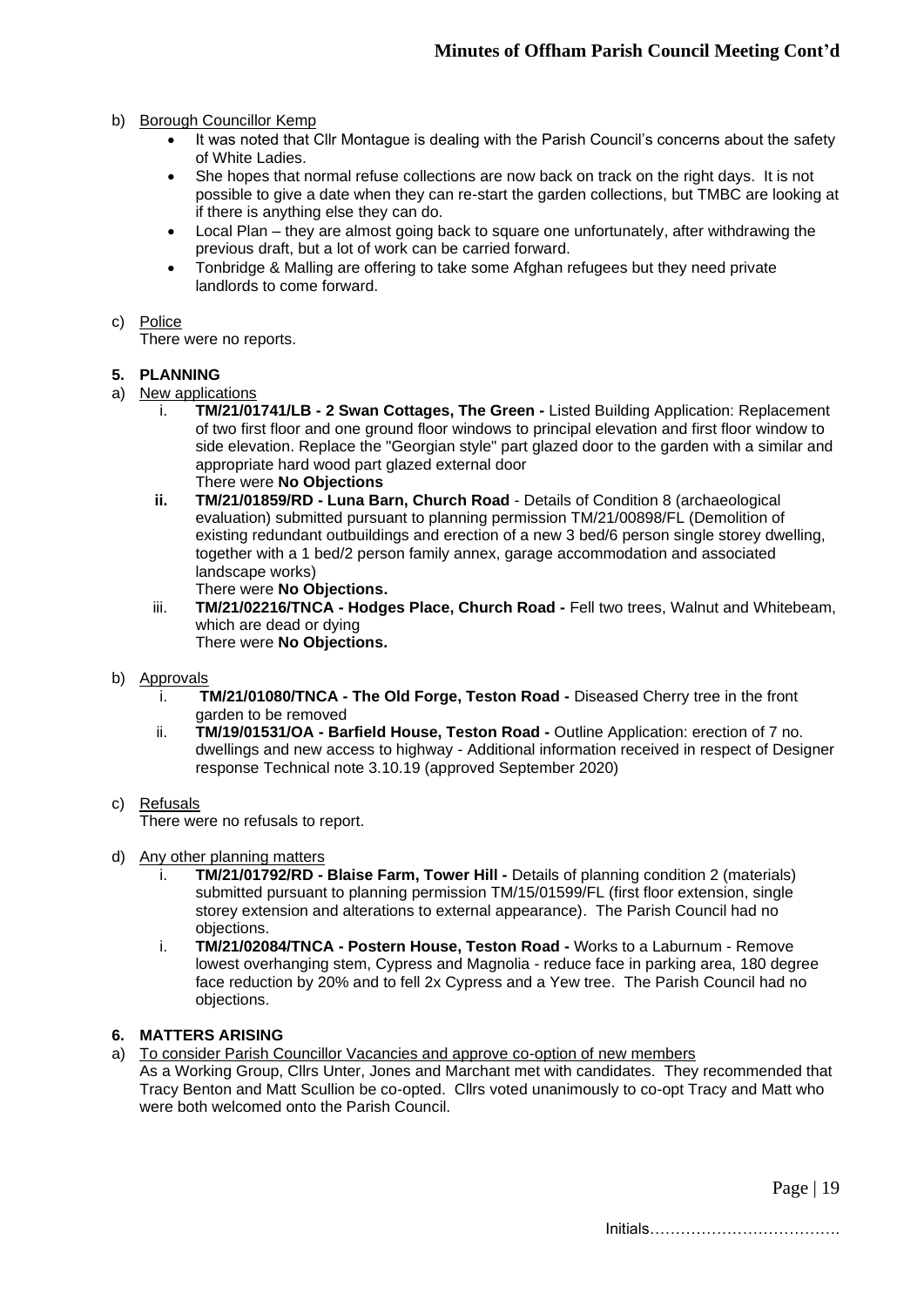- b) Borough Councillor Kemp
	- It was noted that Cllr Montague is dealing with the Parish Council's concerns about the safety of White Ladies.
	- She hopes that normal refuse collections are now back on track on the right days. It is not possible to give a date when they can re-start the garden collections, but TMBC are looking at if there is anything else they can do.
	- Local Plan they are almost going back to square one unfortunately, after withdrawing the previous draft, but a lot of work can be carried forward.
	- Tonbridge & Malling are offering to take some Afghan refugees but they need private landlords to come forward.

#### c) Police

There were no reports.

### **5. PLANNING**

- a) New applications
	- i. **TM/21/01741/LB - 2 Swan Cottages, The Green -** Listed Building Application: Replacement of two first floor and one ground floor windows to principal elevation and first floor window to side elevation. Replace the "Georgian style" part glazed door to the garden with a similar and appropriate hard wood part glazed external door There were **No Objections**
	- **ii. TM/21/01859/RD - Luna Barn, Church Road** Details of Condition 8 (archaeological evaluation) submitted pursuant to planning permission TM/21/00898/FL (Demolition of existing redundant outbuildings and erection of a new 3 bed/6 person single storey dwelling, together with a 1 bed/2 person family annex, garage accommodation and associated landscape works)
		- There were **No Objections.**
	- iii. **TM/21/02216/TNCA - Hodges Place, Church Road -** Fell two trees, Walnut and Whitebeam, which are dead or dying There were **No Objections.**
- b) Approvals
	- i. **TM/21/01080/TNCA - The Old Forge, Teston Road -** Diseased Cherry tree in the front garden to be removed
	- ii. **TM/19/01531/OA - Barfield House, Teston Road -** Outline Application: erection of 7 no. dwellings and new access to highway - Additional information received in respect of Designer response Technical note 3.10.19 (approved September 2020)
- c) Refusals

There were no refusals to report.

- d) Any other planning matters
	- i. **TM/21/01792/RD - Blaise Farm, Tower Hill -** Details of planning condition 2 (materials) submitted pursuant to planning permission TM/15/01599/FL (first floor extension, single storey extension and alterations to external appearance). The Parish Council had no objections.
	- i. **TM/21/02084/TNCA - Postern House, Teston Road -** Works to a Laburnum Remove lowest overhanging stem, Cypress and Magnolia - reduce face in parking area, 180 degree face reduction by 20% and to fell 2x Cypress and a Yew tree. The Parish Council had no objections.

#### **6. MATTERS ARISING**

- a) To consider Parish Councillor Vacancies and approve co-option of new members
- As a Working Group, Cllrs Unter, Jones and Marchant met with candidates. They recommended that Tracy Benton and Matt Scullion be co-opted. Cllrs voted unanimously to co-opt Tracy and Matt who were both welcomed onto the Parish Council.

Page | 19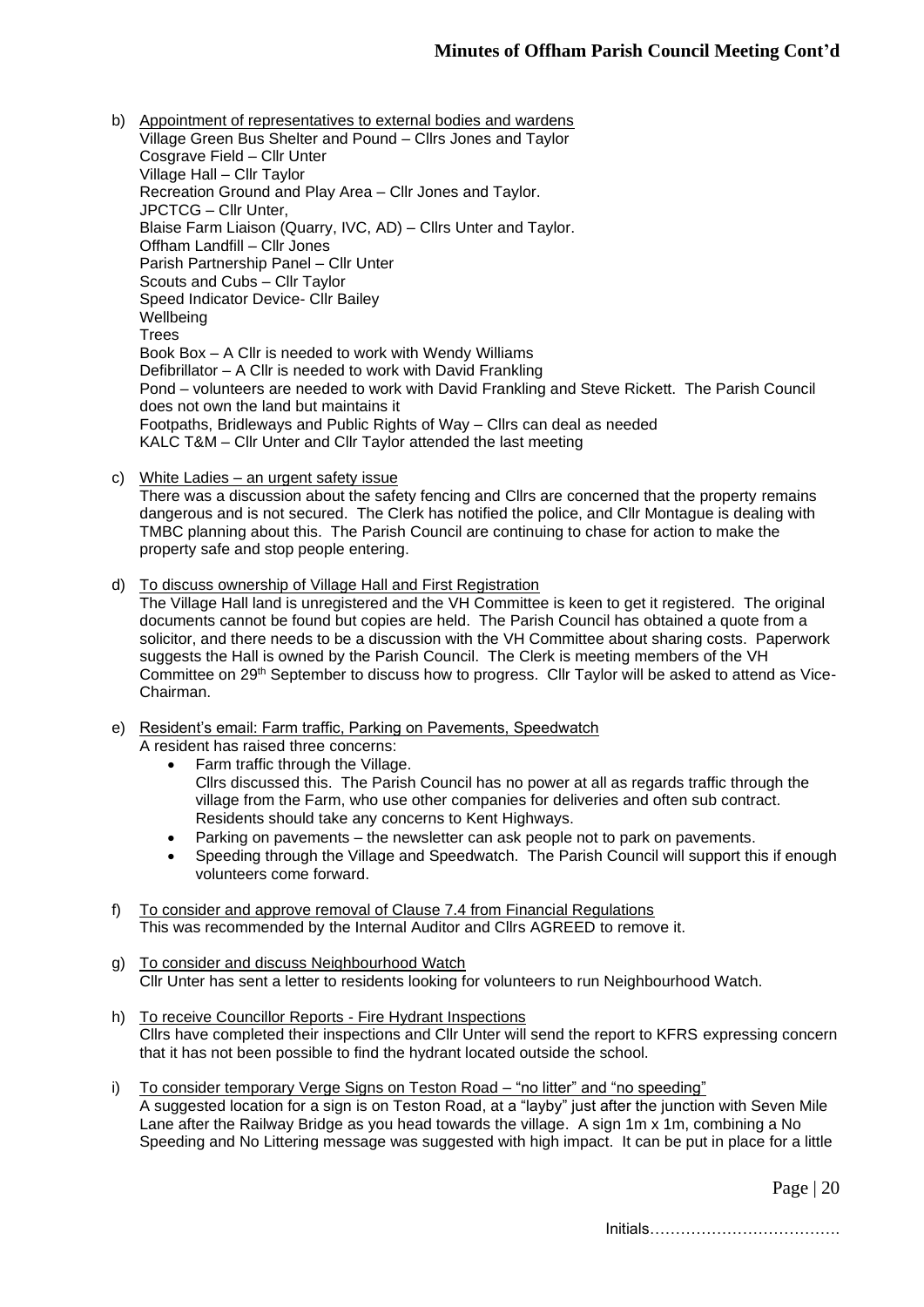- b) Appointment of representatives to external bodies and wardens Village Green Bus Shelter and Pound – Cllrs Jones and Taylor Cosgrave Field – Cllr Unter Village Hall – Cllr Taylor Recreation Ground and Play Area – Cllr Jones and Taylor. JPCTCG – Cllr Unter, Blaise Farm Liaison (Quarry, IVC, AD) – Cllrs Unter and Taylor. Offham Landfill – Cllr Jones Parish Partnership Panel – Cllr Unter Scouts and Cubs – Cllr Taylor Speed Indicator Device- Cllr Bailey **Wellbeing Trees** Book Box – A Cllr is needed to work with Wendy Williams Defibrillator – A Cllr is needed to work with David Frankling Pond – volunteers are needed to work with David Frankling and Steve Rickett. The Parish Council does not own the land but maintains it Footpaths, Bridleways and Public Rights of Way – Cllrs can deal as needed KALC T&M – Cllr Unter and Cllr Taylor attended the last meeting
- c) White Ladies an urgent safety issue

There was a discussion about the safety fencing and Cllrs are concerned that the property remains dangerous and is not secured. The Clerk has notified the police, and Cllr Montague is dealing with TMBC planning about this. The Parish Council are continuing to chase for action to make the property safe and stop people entering.

d) To discuss ownership of Village Hall and First Registration

The Village Hall land is unregistered and the VH Committee is keen to get it registered. The original documents cannot be found but copies are held. The Parish Council has obtained a quote from a solicitor, and there needs to be a discussion with the VH Committee about sharing costs. Paperwork suggests the Hall is owned by the Parish Council. The Clerk is meeting members of the VH Committee on 29th September to discuss how to progress. Cllr Taylor will be asked to attend as Vice-Chairman.

- e) Resident's email: Farm traffic, Parking on Pavements, Speedwatch A resident has raised three concerns:
	- Farm traffic through the Village. Cllrs discussed this. The Parish Council has no power at all as regards traffic through the village from the Farm, who use other companies for deliveries and often sub contract. Residents should take any concerns to Kent Highways.
	- Parking on pavements the newsletter can ask people not to park on pavements.
	- Speeding through the Village and Speedwatch. The Parish Council will support this if enough volunteers come forward.
- f) To consider and approve removal of Clause 7.4 from Financial Regulations This was recommended by the Internal Auditor and Cllrs AGREED to remove it.
- g) To consider and discuss Neighbourhood Watch Cllr Unter has sent a letter to residents looking for volunteers to run Neighbourhood Watch.
- h) To receive Councillor Reports Fire Hydrant Inspections Cllrs have completed their inspections and Cllr Unter will send the report to KFRS expressing concern that it has not been possible to find the hydrant located outside the school.
- i) To consider temporary Verge Signs on Teston Road "no litter" and "no speeding" A suggested location for a sign is on Teston Road, at a "layby" just after the junction with Seven Mile Lane after the Railway Bridge as you head towards the village. A sign 1m x 1m, combining a No Speeding and No Littering message was suggested with high impact. It can be put in place for a little

Page | 20

Initials……………………………….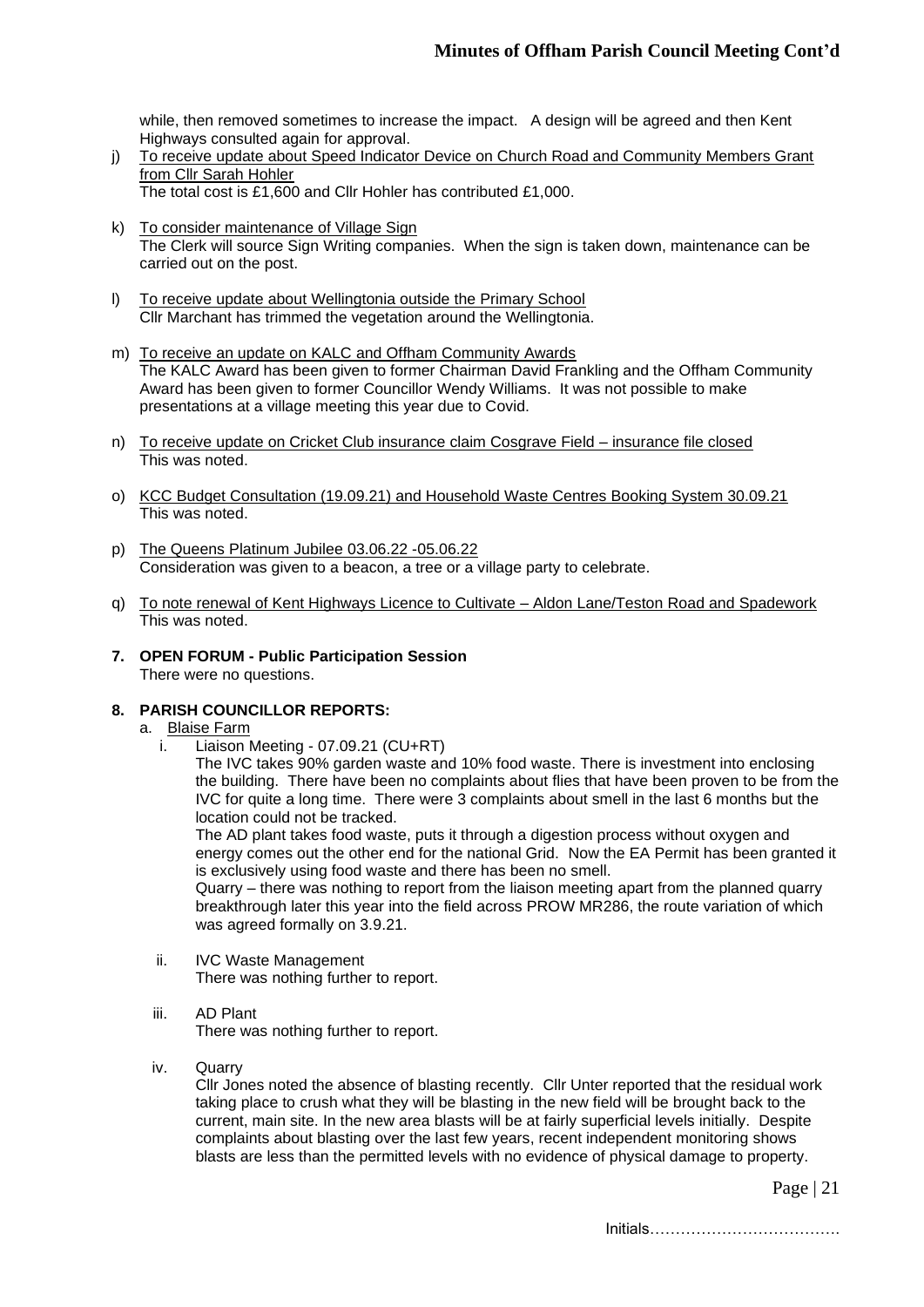while, then removed sometimes to increase the impact. A design will be agreed and then Kent Highways consulted again for approval.

- j) To receive update about Speed Indicator Device on Church Road and Community Members Grant from Cllr Sarah Hohler The total cost is £1,600 and Cllr Hohler has contributed £1,000.
- k) To consider maintenance of Village Sign The Clerk will source Sign Writing companies. When the sign is taken down, maintenance can be carried out on the post.
- l) To receive update about Wellingtonia outside the Primary School Cllr Marchant has trimmed the vegetation around the Wellingtonia.
- m) To receive an update on KALC and Offham Community Awards The KALC Award has been given to former Chairman David Frankling and the Offham Community Award has been given to former Councillor Wendy Williams. It was not possible to make presentations at a village meeting this year due to Covid.
- n) To receive update on Cricket Club insurance claim Cosgrave Field insurance file closed This was noted.
- o) KCC Budget Consultation (19.09.21) and Household Waste Centres Booking System 30.09.21 This was noted.
- p) The Queens Platinum Jubilee 03.06.22 -05.06.22 Consideration was given to a beacon, a tree or a village party to celebrate.
- q) To note renewal of Kent Highways Licence to Cultivate Aldon Lane/Teston Road and Spadework This was noted.
- **7. OPEN FORUM - Public Participation Session** There were no questions.
- **8. PARISH COUNCILLOR REPORTS:**

## a. Blaise Farm

i. Liaison Meeting - 07.09.21 (CU+RT)

The IVC takes 90% garden waste and 10% food waste. There is investment into enclosing the building. There have been no complaints about flies that have been proven to be from the IVC for quite a long time. There were 3 complaints about smell in the last 6 months but the location could not be tracked.

The AD plant takes food waste, puts it through a digestion process without oxygen and energy comes out the other end for the national Grid. Now the EA Permit has been granted it is exclusively using food waste and there has been no smell.

Quarry – there was nothing to report from the liaison meeting apart from the planned quarry breakthrough later this year into the field across PROW MR286, the route variation of which was agreed formally on 3.9.21.

- ii. IVC Waste Management There was nothing further to report.
- iii. AD Plant

There was nothing further to report.

iv. Quarry

Cllr Jones noted the absence of blasting recently. Cllr Unter reported that the residual work taking place to crush what they will be blasting in the new field will be brought back to the current, main site. In the new area blasts will be at fairly superficial levels initially. Despite complaints about blasting over the last few years, recent independent monitoring shows blasts are less than the permitted levels with no evidence of physical damage to property.

Page | 21

Initials……………………………….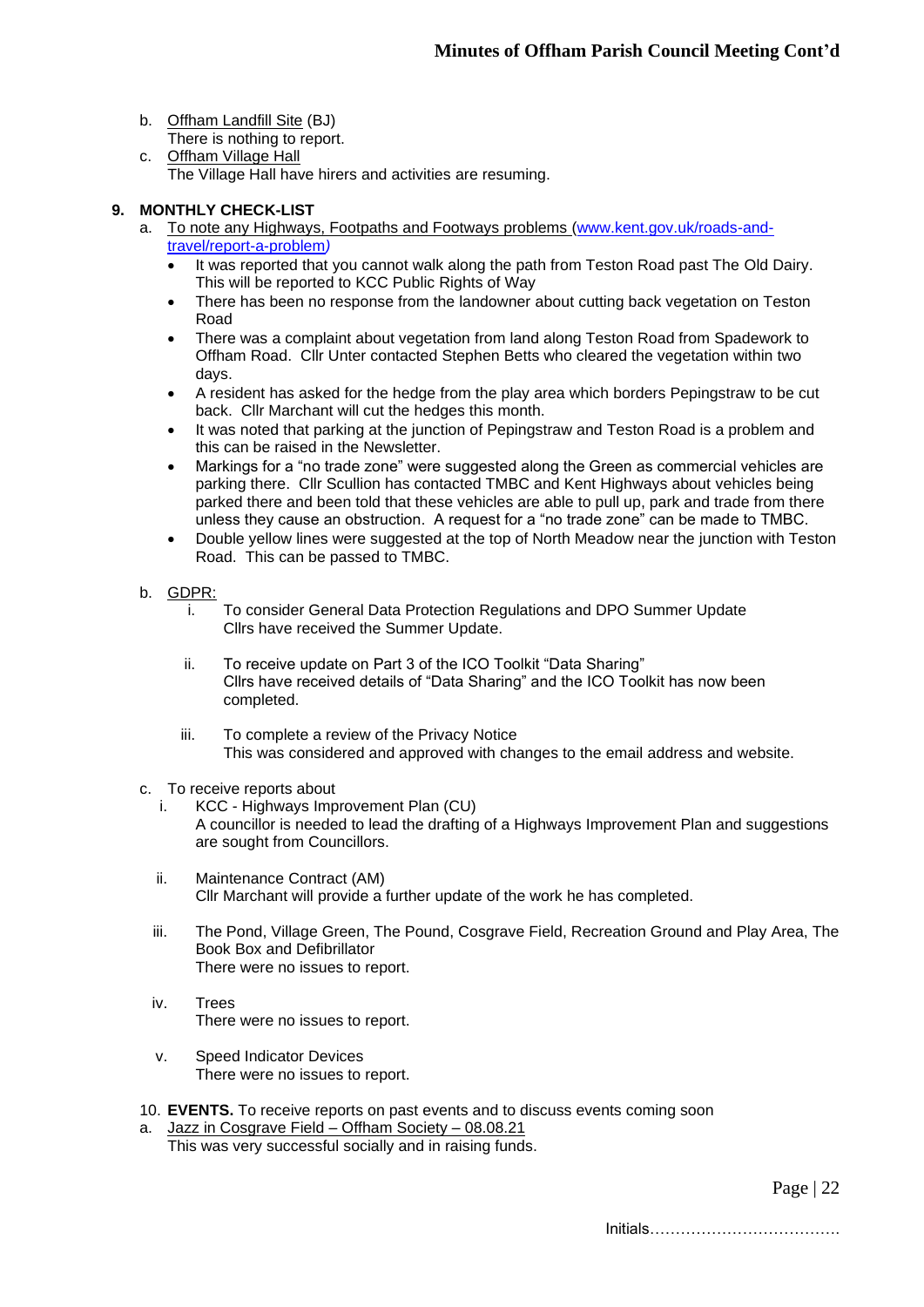- b. Offham Landfill Site (BJ) There is nothing to report.
- c. Offham Village Hall The Village Hall have hirers and activities are resuming.

# **9. MONTHLY CHECK-LIST**

- a. To note any Highways, Footpaths and Footways problems [\(www.kent.gov.uk/roads-and](http://www.kent.gov.uk/roads-and-travel/report-a-problem)[travel/report-a-problem](http://www.kent.gov.uk/roads-and-travel/report-a-problem)*)*
	- It was reported that you cannot walk along the path from Teston Road past The Old Dairy. This will be reported to KCC Public Rights of Way
	- There has been no response from the landowner about cutting back vegetation on Teston Road
	- There was a complaint about vegetation from land along Teston Road from Spadework to Offham Road. Cllr Unter contacted Stephen Betts who cleared the vegetation within two days.
	- A resident has asked for the hedge from the play area which borders Pepingstraw to be cut back. Cllr Marchant will cut the hedges this month.
	- It was noted that parking at the junction of Pepingstraw and Teston Road is a problem and this can be raised in the Newsletter.
	- Markings for a "no trade zone" were suggested along the Green as commercial vehicles are parking there. Cllr Scullion has contacted TMBC and Kent Highways about vehicles being parked there and been told that these vehicles are able to pull up, park and trade from there unless they cause an obstruction. A request for a "no trade zone" can be made to TMBC.
	- Double yellow lines were suggested at the top of North Meadow near the junction with Teston Road. This can be passed to TMBC.
- b. GDPR:
	- i. To consider General Data Protection Regulations and DPO Summer Update Cllrs have received the Summer Update.
	- ii. To receive update on Part 3 of the ICO Toolkit "Data Sharing" Cllrs have received details of "Data Sharing" and the ICO Toolkit has now been completed.
	- iii. To complete a review of the Privacy Notice This was considered and approved with changes to the email address and website.
- c. To receive reports about
	- i. KCC Highways Improvement Plan (CU) A councillor is needed to lead the drafting of a Highways Improvement Plan and suggestions are sought from Councillors.
	- ii. Maintenance Contract (AM) Cllr Marchant will provide a further update of the work he has completed.
	- iii. The Pond, Village Green, The Pound, Cosgrave Field, Recreation Ground and Play Area, The Book Box and Defibrillator There were no issues to report.
	- iv. Trees There were no issues to report.
	- v. Speed Indicator Devices There were no issues to report.
- 10. **EVENTS.** To receive reports on past events and to discuss events coming soon
- a. Jazz in Cosgrave Field Offham Society 08.08.21 This was very successful socially and in raising funds.

Page | 22

Initials……………………………….